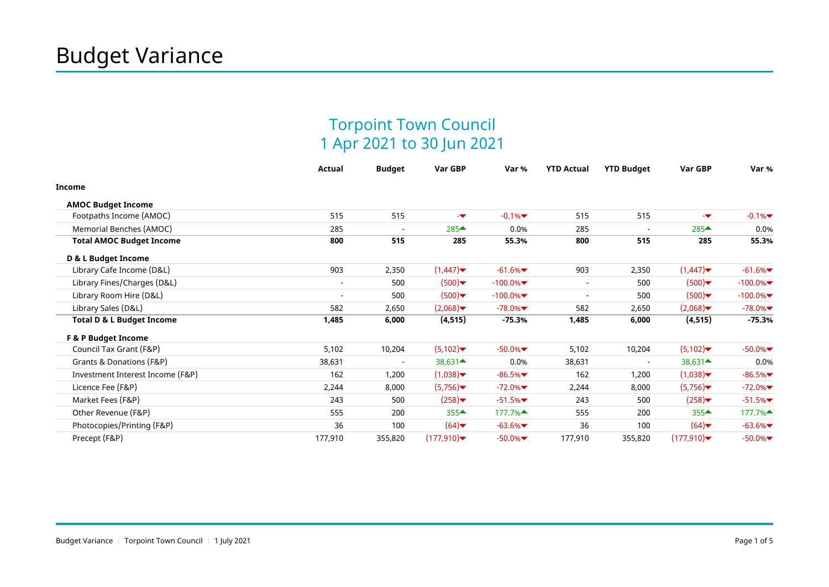## Torpoint Town Council 1 Apr 2021 to 30 Jun 2021

|                                      | <b>Actual</b>            | <b>Budget</b>            | Var GBP             | Var %      | <b>YTD Actual</b>        | <b>YTD Budget</b>        | Var GBP                                    | Var %      |
|--------------------------------------|--------------------------|--------------------------|---------------------|------------|--------------------------|--------------------------|--------------------------------------------|------------|
| Income                               |                          |                          |                     |            |                          |                          |                                            |            |
| <b>AMOC Budget Income</b>            |                          |                          |                     |            |                          |                          |                                            |            |
| Footpaths Income (AMOC)              | 515                      | 515                      | -w                  | $-0.1%$    | 515                      | 515                      | -w                                         | $-0.1\%$   |
| Memorial Benches (AMOC)              | 285                      | $\overline{\phantom{a}}$ | 285▲                | 0.0%       | 285                      | $\overline{\phantom{a}}$ | $285 \triangleq$                           | 0.0%       |
| <b>Total AMOC Budget Income</b>      | 800                      | 515                      | 285                 | 55.3%      | 800                      | 515                      | 285                                        | 55.3%      |
| D & L Budget Income                  |                          |                          |                     |            |                          |                          |                                            |            |
| Library Cafe Income (D&L)            | 903                      | 2,350                    | (1,447)             | $-61.6%$   | 903                      | 2,350                    | (1,447)                                    | $-61.6%$   |
| Library Fines/Charges (D&L)          |                          | 500                      | (500)               | $-100.0\%$ | $\overline{\phantom{a}}$ | 500                      | (500)                                      | $-100.0\%$ |
| Library Room Hire (D&L)              | $\overline{\phantom{a}}$ | 500                      | (500)               | $-100.0\%$ | $\blacksquare$           | 500                      | (500)                                      | $-100.0\%$ |
| Library Sales (D&L)                  | 582                      | 2,650                    | (2,068)             | $-78.0\%$  | 582                      | 2,650                    | (2,068)                                    | $-78.0\%$  |
| <b>Total D &amp; L Budget Income</b> | 1,485                    | 6,000                    | (4, 515)            | $-75.3%$   | 1,485                    | 6,000                    | (4, 515)                                   | -75.3%     |
| <b>F &amp; P Budget Income</b>       |                          |                          |                     |            |                          |                          |                                            |            |
| Council Tax Grant (F&P)              | 5,102                    | 10,204                   | (5,102)             | $-50.0\%$  | 5,102                    | 10,204                   | (5,102)                                    | $-50.0\%$  |
| Grants & Donations (F&P)             | 38,631                   |                          | $38,631 \triangleq$ | 0.0%       | 38,631                   |                          | $38,631$ <sup><math>\triangle</math></sup> | 0.0%       |
| Investment Interest Income (F&P)     | 162                      | 1,200                    | (1,038)             | $-86.5%$   | 162                      | 1,200                    | (1,038)                                    | $-86.5%$   |
| Licence Fee (F&P)                    | 2,244                    | 8,000                    | (5,756)             | $-72.0\%$  | 2,244                    | 8,000                    | (5,756)                                    | $-72.0\%$  |
| Market Fees (F&P)                    | 243                      | 500                      | (258)               | $-51.5%$   | 243                      | 500                      | (258)                                      | $-51.5%$   |
| Other Revenue (F&P)                  | 555                      | 200                      | $355 -$             | 177.7%▲    | 555                      | 200                      | $355 -$                                    | 177.7%▲    |
| Photocopies/Printing (F&P)           | 36                       | 100                      | (64)                | $-63.6%$   | 36                       | 100                      | (64)                                       | $-63.6%$   |
| Precept (F&P)                        | 177,910                  | 355,820                  | (177,910)           | $-50.0\%$  | 177,910                  | 355,820                  | (177,910)                                  | $-50.0\%$  |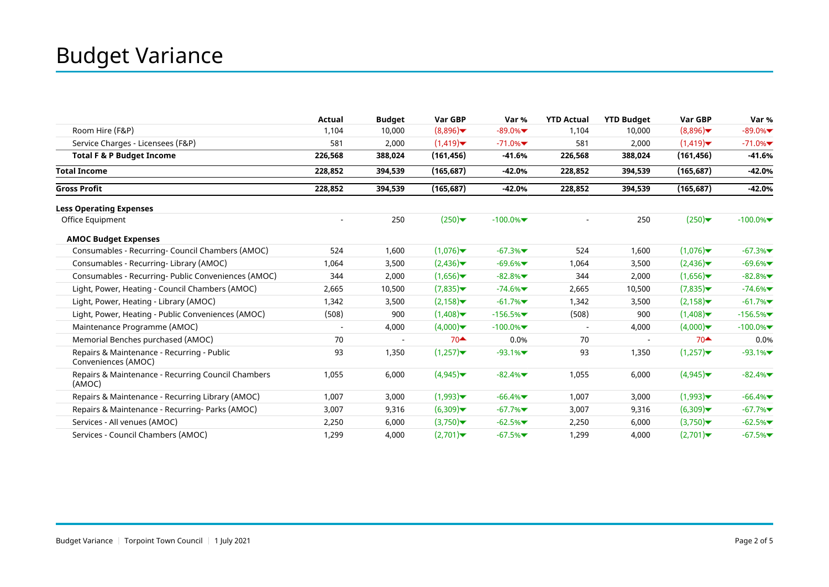|                                                                   | <b>Actual</b> | <b>Budget</b> | Var GBP    | Var %      | <b>YTD Actual</b>        | <b>YTD Budget</b> | Var GBP                       | Var %      |
|-------------------------------------------------------------------|---------------|---------------|------------|------------|--------------------------|-------------------|-------------------------------|------------|
| Room Hire (F&P)                                                   | 1,104         | 10,000        | (8,896)    | $-89.0%$   | 1,104                    | 10,000            | (8,896)                       | $-89.0%$   |
| Service Charges - Licensees (F&P)                                 | 581           | 2,000         | (1,419)    | $-71.0%$   | 581                      | 2,000             | (1,419)                       | $-71.0\%$  |
| <b>Total F &amp; P Budget Income</b>                              | 226,568       | 388,024       | (161, 456) | $-41.6%$   | 226,568                  | 388,024           | (161, 456)                    | $-41.6%$   |
| <b>Total Income</b>                                               | 228,852       | 394,539       | (165, 687) | $-42.0%$   | 228,852                  | 394,539           | (165, 687)                    | $-42.0%$   |
| <b>Gross Profit</b>                                               | 228,852       | 394,539       | (165, 687) | $-42.0%$   | 228,852                  | 394,539           | (165, 687)                    | $-42.0%$   |
| <b>Less Operating Expenses</b>                                    |               |               |            |            |                          |                   |                               |            |
| Office Equipment                                                  |               | 250           | (250)      | $-100.0%$  |                          | 250               | $(250)$ $\blacktriangleright$ | $-100.0\%$ |
| <b>AMOC Budget Expenses</b>                                       |               |               |            |            |                          |                   |                               |            |
| Consumables - Recurring- Council Chambers (AMOC)                  | 524           | 1,600         | (1,076)    | $-67.3%$   | 524                      | 1,600             | (1,076)                       | $-67.3%$   |
| Consumables - Recurring- Library (AMOC)                           | 1,064         | 3,500         | (2,436)    | $-69.6%$   | 1,064                    | 3,500             | (2,436)                       | $-69.6%$   |
| Consumables - Recurring- Public Conveniences (AMOC)               | 344           | 2,000         | (1,656)    | $-82.8%$   | 344                      | 2,000             | (1,656)                       | $-82.8%$   |
| Light, Power, Heating - Council Chambers (AMOC)                   | 2,665         | 10,500        | (7,835)    | $-74.6%$   | 2,665                    | 10,500            | (7,835)                       | $-74.6%$   |
| Light, Power, Heating - Library (AMOC)                            | 1,342         | 3,500         | (2, 158)   | $-61.7%$   | 1,342                    | 3,500             | (2, 158)                      | $-61.7%$   |
| Light, Power, Heating - Public Conveniences (AMOC)                | (508)         | 900           | (1,408)    | $-156.5%$  | (508)                    | 900               | (1,408)                       | $-156.5%$  |
| Maintenance Programme (AMOC)                                      |               | 4,000         | (4,000)    | $-100.0\%$ | $\overline{\phantom{a}}$ | 4,000             | (4,000)                       | $-100.0\%$ |
| Memorial Benches purchased (AMOC)                                 | 70            |               | $70 -$     | 0.0%       | 70                       |                   | $70 \triangleq$               | 0.0%       |
| Repairs & Maintenance - Recurring - Public<br>Conveniences (AMOC) | 93            | 1,350         | (1,257)    | $-93.1%$   | 93                       | 1,350             | (1,257)                       | $-93.1%$   |
| Repairs & Maintenance - Recurring Council Chambers<br>(AMOC)      | 1,055         | 6,000         | (4,945)    | $-82.4%$   | 1,055                    | 6,000             | (4,945)                       | $-82.4%$   |
| Repairs & Maintenance - Recurring Library (AMOC)                  | 1,007         | 3,000         | (1,993)    | $-66.4%$   | 1,007                    | 3,000             | (1,993)                       | $-66.4%$   |
| Repairs & Maintenance - Recurring- Parks (AMOC)                   | 3,007         | 9,316         | (6,309)    | $-67.7%$   | 3,007                    | 9,316             | (6,309)                       | $-67.7%$   |
| Services - All venues (AMOC)                                      | 2,250         | 6,000         | (3,750)    | $-62.5%$   | 2,250                    | 6,000             | (3,750)                       | $-62.5%$   |
| Services - Council Chambers (AMOC)                                | 1,299         | 4,000         | (2,701)    | $-67.5%$   | 1,299                    | 4,000             | (2,701)                       | $-67.5%$   |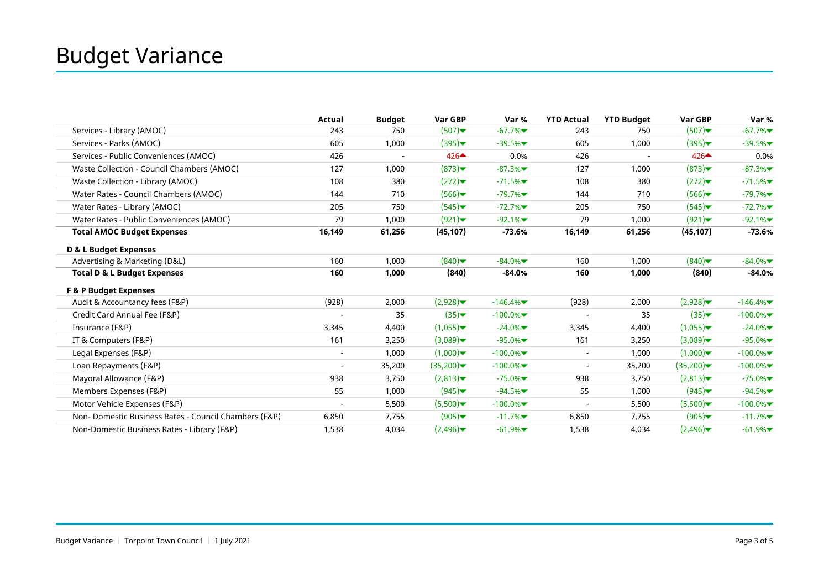|                                                      | Actual                   | <b>Budget</b> | Var GBP                       | Var %      | <b>YTD Actual</b>        | <b>YTD Budget</b> | Var GBP                       | Var %      |
|------------------------------------------------------|--------------------------|---------------|-------------------------------|------------|--------------------------|-------------------|-------------------------------|------------|
| Services - Library (AMOC)                            | 243                      | 750           | (507)                         | $-67.7%$   | 243                      | 750               | (507)                         | $-67.7%$   |
| Services - Parks (AMOC)                              | 605                      | 1,000         | $(395)$ $\blacktriangleright$ | $-39.5%$   | 605                      | 1,000             | $(395)$ $\blacktriangleright$ | $-39.5%$   |
| Services - Public Conveniences (AMOC)                | 426                      |               | $426 \triangle$               | 0.0%       | 426                      |                   | $426 \triangle$               | 0.0%       |
| Waste Collection - Council Chambers (AMOC)           | 127                      | 1,000         | (873)                         | $-87.3%$   | 127                      | 1,000             | $(873)$ $\blacktriangleright$ | $-87.3%$   |
| Waste Collection - Library (AMOC)                    | 108                      | 380           | (272)                         | $-71.5%$   | 108                      | 380               | (272)                         | $-71.5%$   |
| Water Rates - Council Chambers (AMOC)                | 144                      | 710           | (566)                         | $-79.7%$   | 144                      | 710               | (566)                         | $-79.7%$   |
| Water Rates - Library (AMOC)                         | 205                      | 750           | (545)                         | $-72.7%$   | 205                      | 750               | (545)                         | $-72.7%$   |
| Water Rates - Public Conveniences (AMOC)             | 79                       | 1,000         | (921)                         | $-92.1%$   | 79                       | 1,000             | (921)                         | $-92.1%$   |
| <b>Total AMOC Budget Expenses</b>                    | 16,149                   | 61,256        | (45, 107)                     | $-73.6%$   | 16,149                   | 61,256            | (45, 107)                     | $-73.6%$   |
| D & L Budget Expenses                                |                          |               |                               |            |                          |                   |                               |            |
| Advertising & Marketing (D&L)                        | 160                      | 1,000         | (840)                         | $-84.0\%$  | 160                      | 1,000             | (840)                         | $-84.0\%$  |
| <b>Total D &amp; L Budget Expenses</b>               | 160                      | 1,000         | (840)                         | $-84.0%$   | 160                      | 1,000             | (840)                         | $-84.0%$   |
| <b>F &amp; P Budget Expenses</b>                     |                          |               |                               |            |                          |                   |                               |            |
| Audit & Accountancy fees (F&P)                       | (928)                    | 2,000         | (2,928)                       | $-146.4%$  | (928)                    | 2,000             | (2,928)                       | $-146.4%$  |
| Credit Card Annual Fee (F&P)                         |                          | 35            | (35)                          | $-100.0\%$ |                          | 35                | (35)                          | $-100.0\%$ |
| Insurance (F&P)                                      | 3,345                    | 4,400         | (1,055)                       | $-24.0\%$  | 3,345                    | 4,400             | (1,055)                       | $-24.0\%$  |
| IT & Computers (F&P)                                 | 161                      | 3,250         | (3,089)                       | $-95.0\%$  | 161                      | 3,250             | (3,089)                       | $-95.0%$   |
| Legal Expenses (F&P)                                 | $\overline{\phantom{a}}$ | 1,000         | (1,000)                       | $-100.0\%$ | $\overline{\phantom{a}}$ | 1,000             | (1,000)                       | $-100.0\%$ |
| Loan Repayments (F&P)                                | $\overline{\phantom{a}}$ | 35,200        | (35,200)                      | $-100.0\%$ | $\overline{a}$           | 35,200            | (35,200)                      | $-100.0%$  |
| Mayoral Allowance (F&P)                              | 938                      | 3,750         | (2,813)                       | $-75.0\%$  | 938                      | 3,750             | (2,813)                       | $-75.0\%$  |
| Members Expenses (F&P)                               | 55                       | 1,000         | (945)                         | $-94.5%$   | 55                       | 1,000             | $(945)$ $\blacktriangleright$ | $-94.5%$   |
| Motor Vehicle Expenses (F&P)                         | $\overline{\phantom{a}}$ | 5,500         | (5,500)                       | $-100.0\%$ | $\overline{\phantom{a}}$ | 5,500             | (5,500)                       | $-100.0\%$ |
| Non-Domestic Business Rates - Council Chambers (F&P) | 6,850                    | 7,755         | (905)                         | $-11.7%$   | 6,850                    | 7,755             | (905)                         | $-11.7%$   |
| Non-Domestic Business Rates - Library (F&P)          | 1,538                    | 4,034         | (2,496)                       | $-61.9%$   | 1,538                    | 4,034             | (2,496)                       | $-61.9%$   |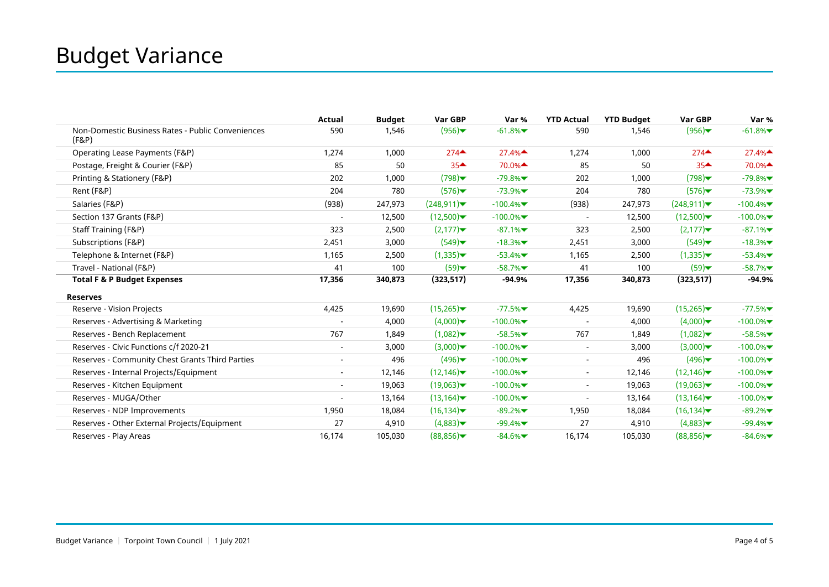|                                                            | Actual                   | <b>Budget</b> | Var GBP                                 | Var %      | <b>YTD Actual</b>        | <b>YTD Budget</b> | Var GBP                                 | Var %      |
|------------------------------------------------------------|--------------------------|---------------|-----------------------------------------|------------|--------------------------|-------------------|-----------------------------------------|------------|
| Non-Domestic Business Rates - Public Conveniences<br>(F&P) | 590                      | 1,546         | (956)                                   | $-61.8%$   | 590                      | 1,546             | (956)                                   | $-61.8%$   |
| Operating Lease Payments (F&P)                             | 1,274                    | 1,000         | $274$ <sup><math>\triangle</math></sup> | 27.4%      | 1,274                    | 1,000             | $274$ <sup><math>\triangle</math></sup> | 27.4%      |
| Postage, Freight & Courier (F&P)                           | 85                       | 50            | $35 -$                                  | 70.0%▲     | 85                       | 50                | $35 -$                                  | 70.0%▲     |
| Printing & Stationery (F&P)                                | 202                      | 1,000         | (798)                                   | $-79.8%$   | 202                      | 1,000             | (798)                                   | $-79.8%$   |
| Rent (F&P)                                                 | 204                      | 780           | (576)                                   | $-73.9%$   | 204                      | 780               | (576)                                   | $-73.9%$   |
| Salaries (F&P)                                             | (938)                    | 247,973       | (248, 911)                              | $-100.4%$  | (938)                    | 247,973           | (248, 911)                              | $-100.4%$  |
| Section 137 Grants (F&P)                                   | $\overline{\phantom{a}}$ | 12,500        | (12,500)                                | $-100.0\%$ | $\overline{\phantom{a}}$ | 12,500            | (12,500)                                | $-100.0\%$ |
| Staff Training (F&P)                                       | 323                      | 2,500         | (2,177)                                 | $-87.1%$   | 323                      | 2,500             | (2,177)                                 | $-87.1%$   |
| Subscriptions (F&P)                                        | 2,451                    | 3,000         | (549)                                   | $-18.3%$   | 2,451                    | 3,000             | (549)                                   | $-18.3%$   |
| Telephone & Internet (F&P)                                 | 1,165                    | 2,500         | (1,335)                                 | $-53.4%$   | 1,165                    | 2,500             | (1,335)                                 | $-53.4%$   |
| Travel - National (F&P)                                    | 41                       | 100           | (59)                                    | $-58.7%$   | 41                       | 100               | (59)                                    | $-58.7%$   |
| <b>Total F &amp; P Budget Expenses</b>                     | 17,356                   | 340,873       | (323, 517)                              | $-94.9%$   | 17,356                   | 340,873           | (323, 517)                              | $-94.9%$   |
| <b>Reserves</b>                                            |                          |               |                                         |            |                          |                   |                                         |            |
| Reserve - Vision Projects                                  | 4,425                    | 19,690        | (15,265)                                | $-77.5%$   | 4,425                    | 19,690            | (15,265)                                | $-77.5%$   |
| Reserves - Advertising & Marketing                         |                          | 4,000         | (4,000)                                 | $-100.0\%$ |                          | 4,000             | (4,000)                                 | $-100.0\%$ |
| Reserves - Bench Replacement                               | 767                      | 1,849         | (1,082)                                 | $-58.5%$   | 767                      | 1,849             | (1,082)                                 | $-58.5%$   |
| Reserves - Civic Functions c/f 2020-21                     |                          | 3,000         | (3,000)                                 | $-100.0\%$ | $\overline{\phantom{a}}$ | 3,000             | (3,000)                                 | $-100.0\%$ |
| Reserves - Community Chest Grants Third Parties            |                          | 496           | (496)                                   | $-100.0\%$ | $\overline{\phantom{a}}$ | 496               | (496)                                   | $-100.0\%$ |
| Reserves - Internal Projects/Equipment                     |                          | 12,146        | (12, 146)                               | $-100.0\%$ | $\overline{\phantom{a}}$ | 12,146            | (12, 146)                               | $-100.0\%$ |
| Reserves - Kitchen Equipment                               |                          | 19,063        | (19,063)                                | $-100.0\%$ | $\overline{\phantom{a}}$ | 19,063            | (19,063)                                | $-100.0\%$ |
| Reserves - MUGA/Other                                      |                          | 13,164        | (13, 164)                               | $-100.0\%$ | $\overline{\phantom{a}}$ | 13,164            | (13, 164)                               | $-100.0\%$ |
| Reserves - NDP Improvements                                | 1,950                    | 18,084        | (16, 134)                               | $-89.2%$   | 1,950                    | 18,084            | (16, 134)                               | $-89.2%$   |
| Reserves - Other External Projects/Equipment               | 27                       | 4,910         | (4,883)                                 | $-99.4%$   | 27                       | 4,910             | (4,883)                                 | $-99.4%$   |
| Reserves - Play Areas                                      | 16,174                   | 105,030       | (88,856)                                | $-84.6%$   | 16,174                   | 105,030           | (88,856)                                | $-84.6%$   |